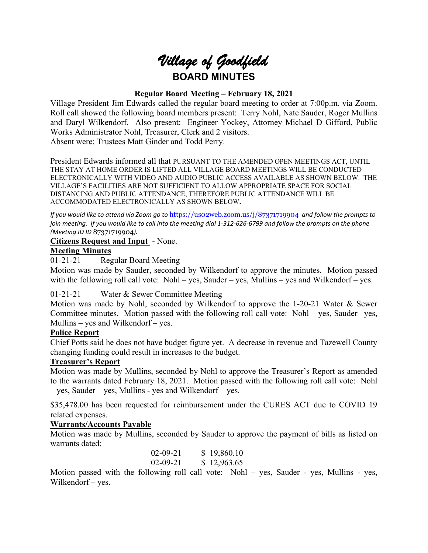# *Village of Goodfield* **BOARD MINUTES**

## **Regular Board Meeting – February 18, 2021**

Village President Jim Edwards called the regular board meeting to order at 7:00p.m. via Zoom. Roll call showed the following board members present: Terry Nohl, Nate Sauder, Roger Mullins and Daryl Wilkendorf. Also present: Engineer Yockey, Attorney Michael D Gifford, Public Works Administrator Nohl, Treasurer, Clerk and 2 visitors.

Absent were: Trustees Matt Ginder and Todd Perry.

President Edwards informed all that PURSUANT TO THE AMENDED OPEN MEETINGS ACT, UNTIL THE STAY AT HOME ORDER IS LIFTED ALL VILLAGE BOARD MEETINGS WILL BE CONDUCTED ELECTRONICALLY WITH VIDEO AND AUDIO PUBLIC ACCESS AVAILABLE AS SHOWN BELOW. THE VILLAGE'S FACILITIES ARE NOT SUFFICIENT TO ALLOW APPROPRIATE SPACE FOR SOCIAL DISTANCING AND PUBLIC ATTENDANCE, THEREFORE PUBLIC ATTENDANCE WILL BE ACCOMMODATED ELECTRONICALLY AS SHOWN BELOW**.**

*If you would like to attend via Zoom go to* <https://us02web.zoom.us/j/87371719904> *and follow the prompts to join meeting. If you would like to call into the meeting dial 1-312-626-6799 and follow the prompts on the phone (Meeting ID ID* 87371719904*).*

## **Citizens Request and Input** - None.

## **Meeting Minutes**

01-21-21 Regular Board Meeting

Motion was made by Sauder, seconded by Wilkendorf to approve the minutes. Motion passed with the following roll call vote: Nohl – yes, Sauder – yes, Mullins – yes and Wilkendorf – yes.

## 01-21-21 Water & Sewer Committee Meeting

Motion was made by Nohl, seconded by Wilkendorf to approve the 1-20-21 Water & Sewer Committee minutes. Motion passed with the following roll call vote: Nohl – yes, Sauder –yes, Mullins – yes and Wilkendorf – yes.

## **Police Report**

Chief Potts said he does not have budget figure yet. A decrease in revenue and Tazewell County changing funding could result in increases to the budget.

## **Treasurer's Report**

Motion was made by Mullins, seconded by Nohl to approve the Treasurer's Report as amended to the warrants dated February 18, 2021. Motion passed with the following roll call vote: Nohl – yes, Sauder – yes, Mullins - yes and Wilkendorf – yes.

\$35,478.00 has been requested for reimbursement under the CURES ACT due to COVID 19 related expenses.

## **Warrants/Accounts Payable**

Motion was made by Mullins, seconded by Sauder to approve the payment of bills as listed on warrants dated:

> 02-09-21 \$ 19,860.10 02-09-21 \$ 12,963.65

Motion passed with the following roll call vote: Nohl – yes, Sauder - yes, Mullins - yes, Wilkendorf – yes.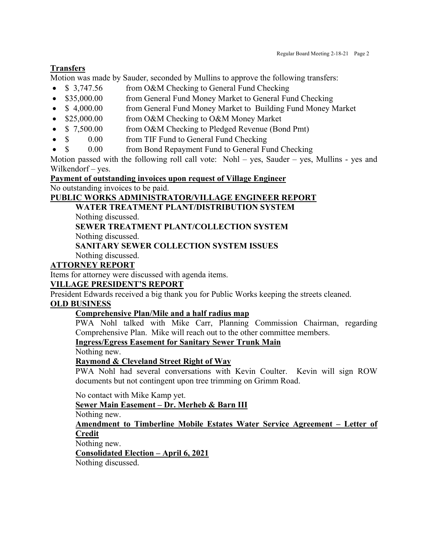# **Transfers**

Motion was made by Sauder, seconded by Mullins to approve the following transfers:

- \$ 3,747.56 from O&M Checking to General Fund Checking
- \$35,000.00 from General Fund Money Market to General Fund Checking
- \$4,000.00 from General Fund Money Market to Building Fund Money Market
- \$25,000.00 from O&M Checking to O&M Money Market
- \$ 7,500.00 from O&M Checking to Pledged Revenue (Bond Pmt)
- \$ 0.00 from TIF Fund to General Fund Checking
- \$ 0.00 from Bond Repayment Fund to General Fund Checking

Motion passed with the following roll call vote: Nohl – yes, Sauder – yes, Mullins - yes and Wilkendorf – yes.

**Payment of outstanding invoices upon request of Village Engineer**

No outstanding invoices to be paid.

# **PUBLIC WORKS ADMINISTRATOR/VILLAGE ENGINEER REPORT**

**WATER TREATMENT PLANT/DISTRIBUTION SYSTEM**

Nothing discussed.

**SEWER TREATMENT PLANT/COLLECTION SYSTEM**

Nothing discussed.

**SANITARY SEWER COLLECTION SYSTEM ISSUES**

Nothing discussed.

# **ATTORNEY REPORT**

Items for attorney were discussed with agenda items.

# **VILLAGE PRESIDENT'S REPORT**

President Edwards received a big thank you for Public Works keeping the streets cleaned. **OLD BUSINESS**

# **Comprehensive Plan/Mile and a half radius map**

PWA Nohl talked with Mike Carr, Planning Commission Chairman, regarding Comprehensive Plan. Mike will reach out to the other committee members.

# **Ingress/Egress Easement for Sanitary Sewer Trunk Main**

Nothing new.

# **Raymond & Cleveland Street Right of Way**

PWA Nohl had several conversations with Kevin Coulter. Kevin will sign ROW documents but not contingent upon tree trimming on Grimm Road.

No contact with Mike Kamp yet.

**Sewer Main Easement – Dr. Merheb & Barn III**

Nothing new.

**Amendment to Timberline Mobile Estates Water Service Agreement – Letter of Credit**

Nothing new.

**Consolidated Election – April 6, 2021** 

Nothing discussed.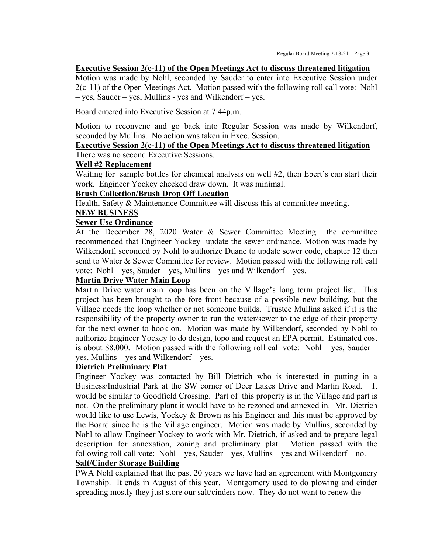#### **Executive Session 2(c-11) of the Open Meetings Act to discuss threatened litigation**

Motion was made by Nohl, seconded by Sauder to enter into Executive Session under 2(c-11) of the Open Meetings Act. Motion passed with the following roll call vote: Nohl – yes, Sauder – yes, Mullins - yes and Wilkendorf – yes.

Board entered into Executive Session at 7:44p.m.

Motion to reconvene and go back into Regular Session was made by Wilkendorf, seconded by Mullins. No action was taken in Exec. Session.

**Executive Session 2(c-11) of the Open Meetings Act to discuss threatened litigation** There was no second Executive Sessions.

#### **Well #2 Replacement**

Waiting for sample bottles for chemical analysis on well #2, then Ebert's can start their work. Engineer Yockey checked draw down. It was minimal.

## **Brush Collection/Brush Drop Off Location**

Health, Safety & Maintenance Committee will discuss this at committee meeting.

# **NEW BUSINESS**

### **Sewer Use Ordinance**

At the December 28, 2020 Water & Sewer Committee Meeting the committee recommended that Engineer Yockey update the sewer ordinance. Motion was made by Wilkendorf, seconded by Nohl to authorize Duane to update sewer code, chapter 12 then send to Water & Sewer Committee for review. Motion passed with the following roll call vote: Nohl – yes, Sauder – yes, Mullins – yes and Wilkendorf – yes.

## **Martin Drive Water Main Loop**

Martin Drive water main loop has been on the Village's long term project list. This project has been brought to the fore front because of a possible new building, but the Village needs the loop whether or not someone builds. Trustee Mullins asked if it is the responsibility of the property owner to run the water/sewer to the edge of their property for the next owner to hook on. Motion was made by Wilkendorf, seconded by Nohl to authorize Engineer Yockey to do design, topo and request an EPA permit. Estimated cost is about  $$8,000$ . Motion passed with the following roll call vote: Nohl – yes, Sauder – yes, Mullins – yes and Wilkendorf – yes.

#### **Dietrich Preliminary Plat**

Engineer Yockey was contacted by Bill Dietrich who is interested in putting in a Business/Industrial Park at the SW corner of Deer Lakes Drive and Martin Road. It would be similar to Goodfield Crossing. Part of this property is in the Village and part is not. On the preliminary plant it would have to be rezoned and annexed in. Mr. Dietrich would like to use Lewis, Yockey & Brown as his Engineer and this must be approved by the Board since he is the Village engineer. Motion was made by Mullins, seconded by Nohl to allow Engineer Yockey to work with Mr. Dietrich, if asked and to prepare legal description for annexation, zoning and preliminary plat. Motion passed with the following roll call vote: Nohl – yes, Sauder – yes, Mullins – yes and Wilkendorf – no.

# **Salt/Cinder Storage Building**

PWA Nohl explained that the past 20 years we have had an agreement with Montgomery Township. It ends in August of this year. Montgomery used to do plowing and cinder spreading mostly they just store our salt/cinders now. They do not want to renew the